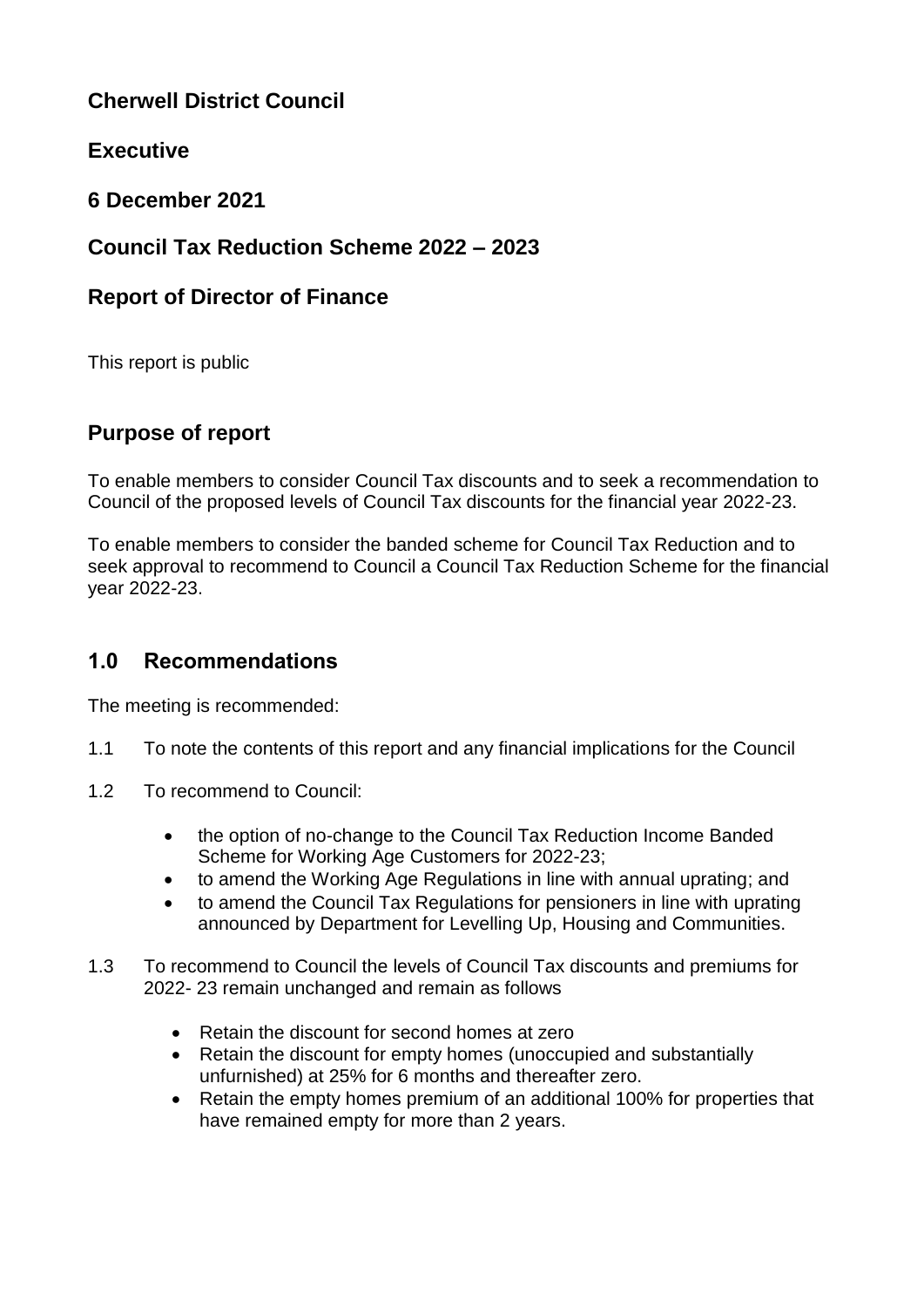# **Cherwell District Council**

# **Executive**

**6 December 2021**

## **Council Tax Reduction Scheme 2022 – 2023**

### **Report of Director of Finance**

This report is public

### **Purpose of report**

To enable members to consider Council Tax discounts and to seek a recommendation to Council of the proposed levels of Council Tax discounts for the financial year 2022-23.

To enable members to consider the banded scheme for Council Tax Reduction and to seek approval to recommend to Council a Council Tax Reduction Scheme for the financial year 2022-23.

## **1.0 Recommendations**

The meeting is recommended:

- 1.1 To note the contents of this report and any financial implications for the Council
- 1.2 To recommend to Council:
	- the option of no-change to the Council Tax Reduction Income Banded Scheme for Working Age Customers for 2022-23;
	- to amend the Working Age Regulations in line with annual uprating; and
	- to amend the Council Tax Regulations for pensioners in line with uprating announced by Department for Levelling Up, Housing and Communities.
- 1.3 To recommend to Council the levels of Council Tax discounts and premiums for 2022- 23 remain unchanged and remain as follows
	- Retain the discount for second homes at zero
	- Retain the discount for empty homes (unoccupied and substantially unfurnished) at 25% for 6 months and thereafter zero.
	- Retain the empty homes premium of an additional 100% for properties that have remained empty for more than 2 years.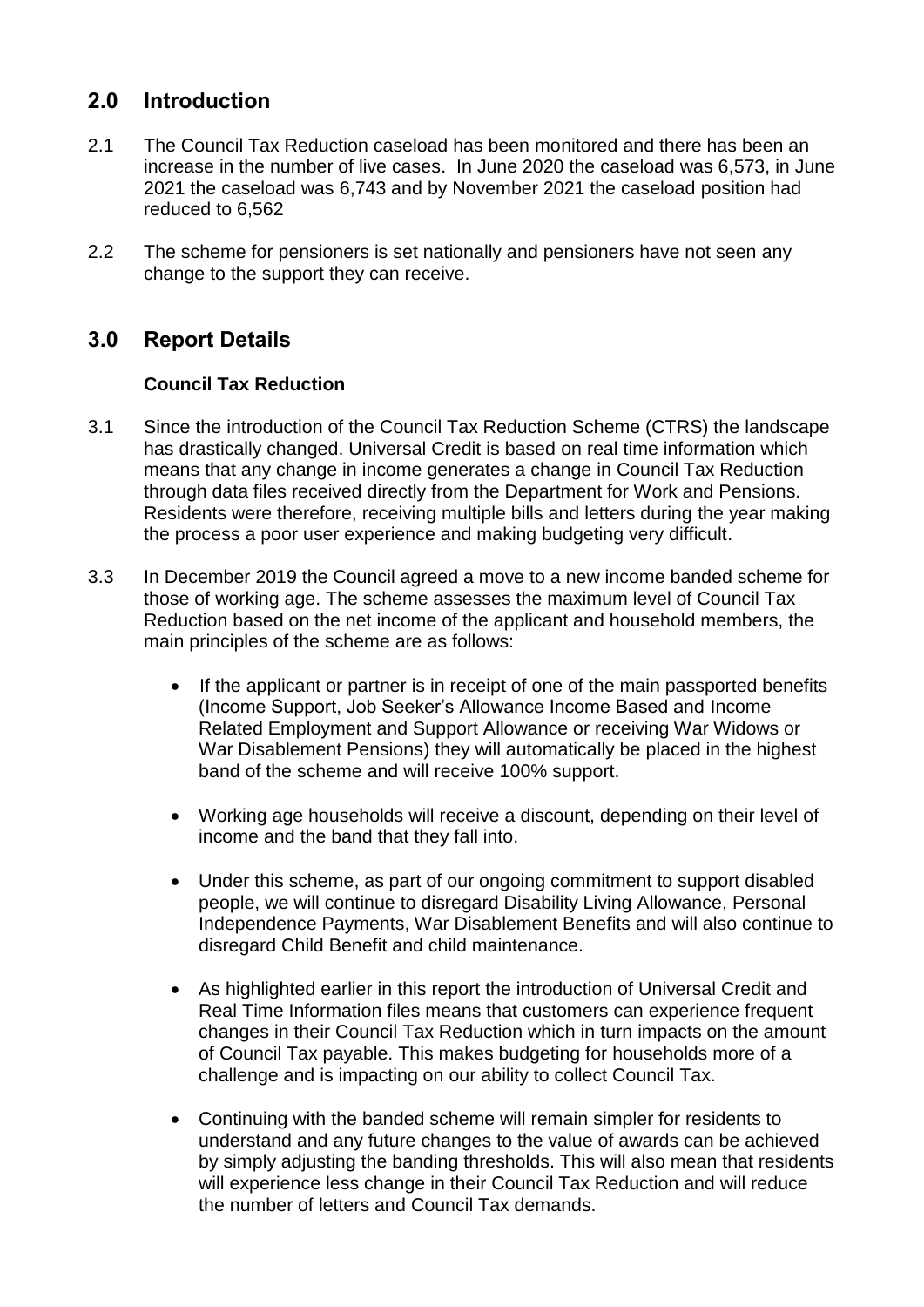### **2.0 Introduction**

- 2.1 The Council Tax Reduction caseload has been monitored and there has been an increase in the number of live cases. In June 2020 the caseload was 6,573, in June 2021 the caseload was 6,743 and by November 2021 the caseload position had reduced to 6,562
- 2.2 The scheme for pensioners is set nationally and pensioners have not seen any change to the support they can receive.

# **3.0 Report Details**

### **Council Tax Reduction**

- 3.1 Since the introduction of the Council Tax Reduction Scheme (CTRS) the landscape has drastically changed. Universal Credit is based on real time information which means that any change in income generates a change in Council Tax Reduction through data files received directly from the Department for Work and Pensions. Residents were therefore, receiving multiple bills and letters during the year making the process a poor user experience and making budgeting very difficult.
- 3.3 In December 2019 the Council agreed a move to a new income banded scheme for those of working age. The scheme assesses the maximum level of Council Tax Reduction based on the net income of the applicant and household members, the main principles of the scheme are as follows:
	- If the applicant or partner is in receipt of one of the main passported benefits (Income Support, Job Seeker's Allowance Income Based and Income Related Employment and Support Allowance or receiving War Widows or War Disablement Pensions) they will automatically be placed in the highest band of the scheme and will receive 100% support.
	- Working age households will receive a discount, depending on their level of income and the band that they fall into.
	- Under this scheme, as part of our ongoing commitment to support disabled people, we will continue to disregard Disability Living Allowance, Personal Independence Payments, War Disablement Benefits and will also continue to disregard Child Benefit and child maintenance.
	- As highlighted earlier in this report the introduction of Universal Credit and Real Time Information files means that customers can experience frequent changes in their Council Tax Reduction which in turn impacts on the amount of Council Tax payable. This makes budgeting for households more of a challenge and is impacting on our ability to collect Council Tax.
	- Continuing with the banded scheme will remain simpler for residents to understand and any future changes to the value of awards can be achieved by simply adjusting the banding thresholds. This will also mean that residents will experience less change in their Council Tax Reduction and will reduce the number of letters and Council Tax demands.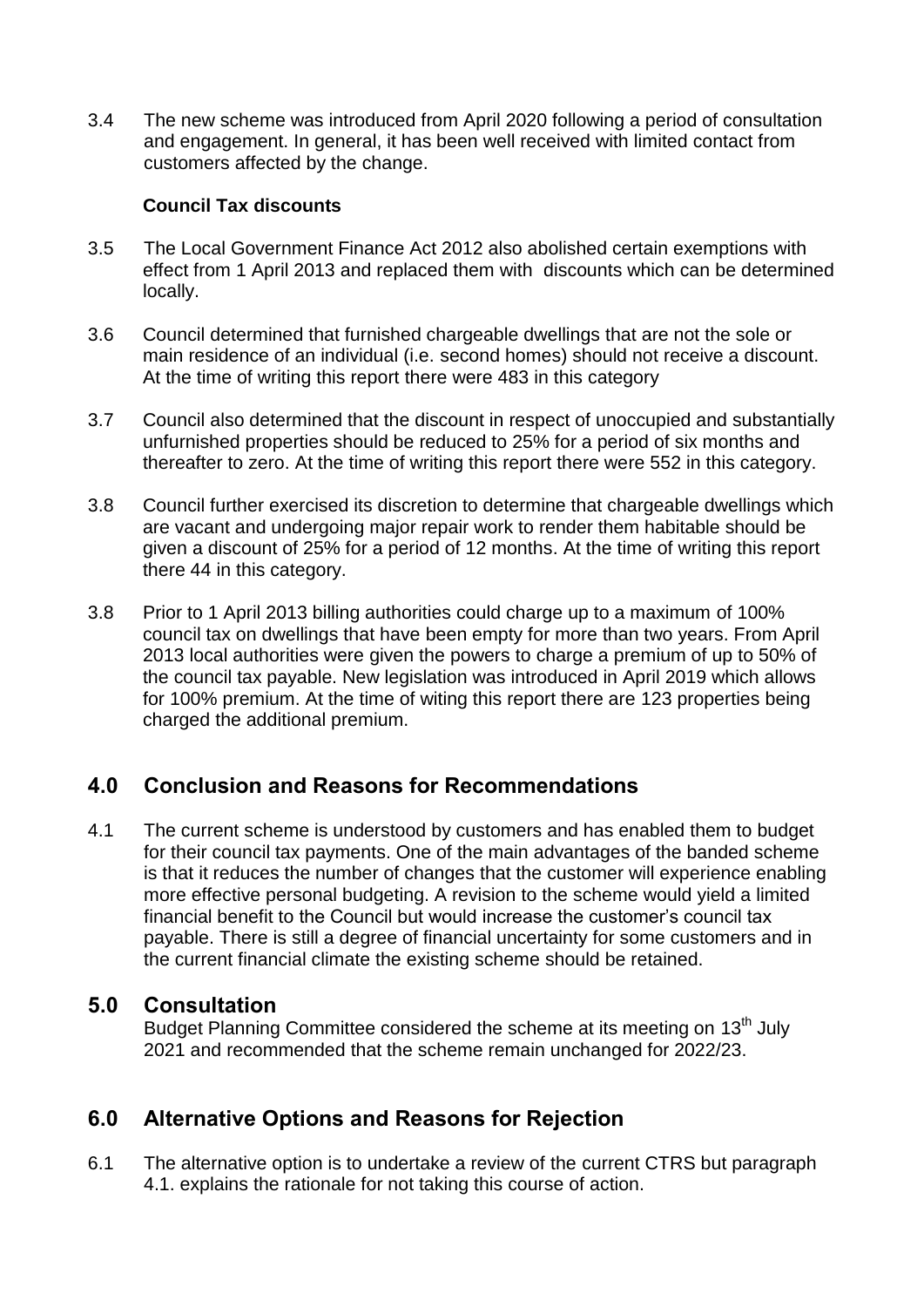3.4 The new scheme was introduced from April 2020 following a period of consultation and engagement. In general, it has been well received with limited contact from customers affected by the change.

#### **Council Tax discounts**

- 3.5 The Local Government Finance Act 2012 also abolished certain exemptions with effect from 1 April 2013 and replaced them with discounts which can be determined locally.
- 3.6 Council determined that furnished chargeable dwellings that are not the sole or main residence of an individual (i.e. second homes) should not receive a discount. At the time of writing this report there were 483 in this category
- 3.7 Council also determined that the discount in respect of unoccupied and substantially unfurnished properties should be reduced to 25% for a period of six months and thereafter to zero. At the time of writing this report there were 552 in this category.
- 3.8 Council further exercised its discretion to determine that chargeable dwellings which are vacant and undergoing major repair work to render them habitable should be given a discount of 25% for a period of 12 months. At the time of writing this report there 44 in this category.
- 3.8 Prior to 1 April 2013 billing authorities could charge up to a maximum of 100% council tax on dwellings that have been empty for more than two years. From April 2013 local authorities were given the powers to charge a premium of up to 50% of the council tax payable. New legislation was introduced in April 2019 which allows for 100% premium. At the time of witing this report there are 123 properties being charged the additional premium.

### **4.0 Conclusion and Reasons for Recommendations**

4.1 The current scheme is understood by customers and has enabled them to budget for their council tax payments. One of the main advantages of the banded scheme is that it reduces the number of changes that the customer will experience enabling more effective personal budgeting. A revision to the scheme would yield a limited financial benefit to the Council but would increase the customer's council tax payable. There is still a degree of financial uncertainty for some customers and in the current financial climate the existing scheme should be retained.

### **5.0 Consultation**

Budget Planning Committee considered the scheme at its meeting on  $13<sup>th</sup>$  July 2021 and recommended that the scheme remain unchanged for 2022/23.

### **6.0 Alternative Options and Reasons for Rejection**

6.1 The alternative option is to undertake a review of the current CTRS but paragraph 4.1. explains the rationale for not taking this course of action.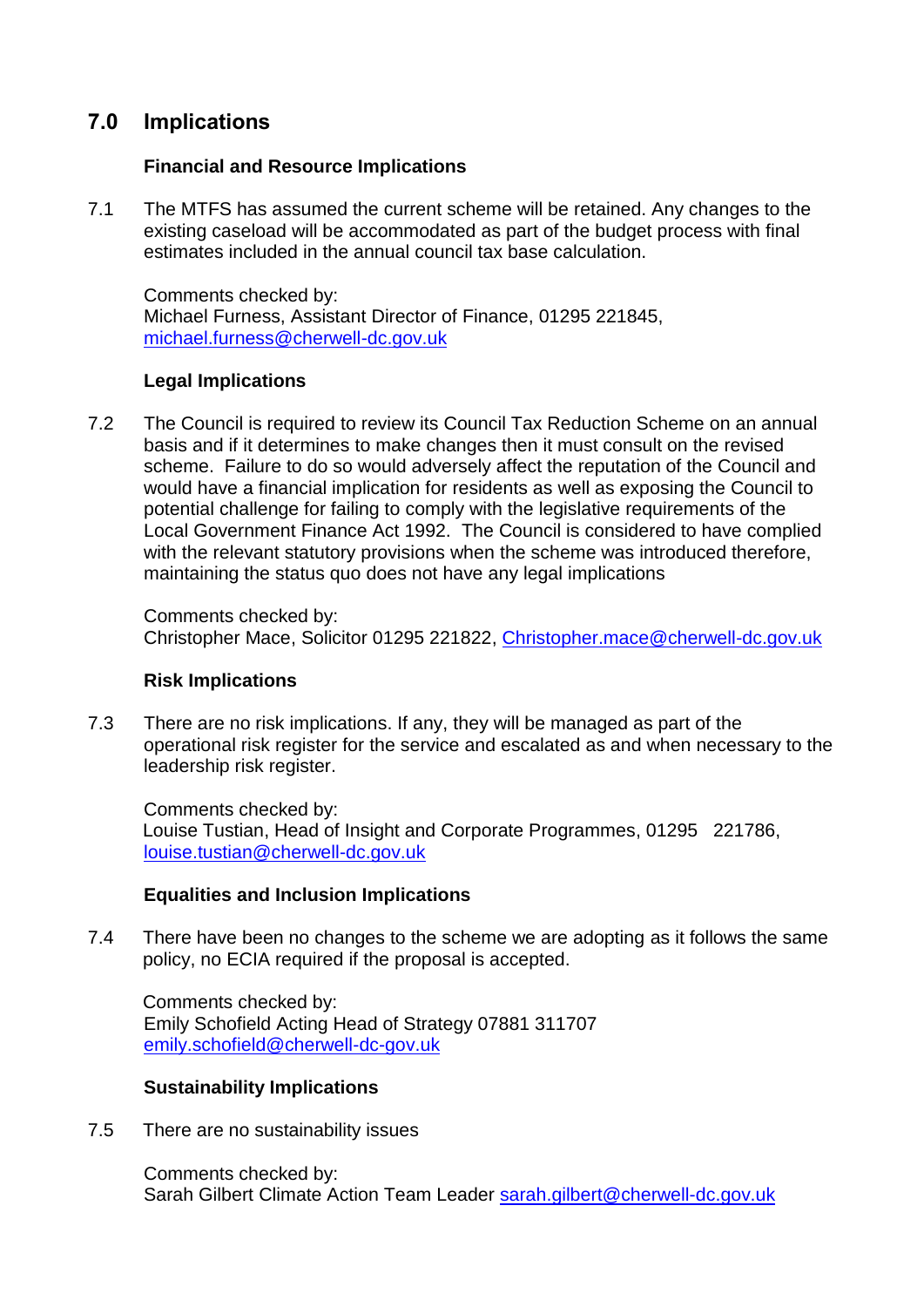### **7.0 Implications**

#### **Financial and Resource Implications**

7.1 The MTFS has assumed the current scheme will be retained. Any changes to the existing caseload will be accommodated as part of the budget process with final estimates included in the annual council tax base calculation.

Comments checked by: Michael Furness, Assistant Director of Finance, 01295 221845, [michael.furness@cherwell-dc.gov.uk](mailto:michael.furness@cherwell-dc.gov.uk)

### **Legal Implications**

7.2 The Council is required to review its Council Tax Reduction Scheme on an annual basis and if it determines to make changes then it must consult on the revised scheme. Failure to do so would adversely affect the reputation of the Council and would have a financial implication for residents as well as exposing the Council to potential challenge for failing to comply with the legislative requirements of the Local Government Finance Act 1992. The Council is considered to have complied with the relevant statutory provisions when the scheme was introduced therefore, maintaining the status quo does not have any legal implications

Comments checked by: Christopher Mace, Solicitor 01295 221822, [Christopher.mace@cherwell-dc.gov.uk](mailto:Christopher.mace@cherwell-dc.gov.uk)

### **Risk Implications**

7.3 There are no risk implications. If any, they will be managed as part of the operational risk register for the service and escalated as and when necessary to the leadership risk register.

Comments checked by: Louise Tustian, Head of Insight and Corporate Programmes, 01295 221786, [louise.tustian@cherwell-dc.gov.uk](mailto:louise.tustian@cherwell-dc.gov.uk)

### **Equalities and Inclusion Implications**

7.4 There have been no changes to the scheme we are adopting as it follows the same policy, no ECIA required if the proposal is accepted.

Comments checked by: Emily Schofield Acting Head of Strategy 07881 311707 [emily.schofield@cherwell-dc-gov.uk](mailto:emily.schofield@cherwell-dc-gov.uk)

### **Sustainability Implications**

7.5 There are no sustainability issues

Comments checked by: Sarah Gilbert Climate Action Team Leader [sarah.gilbert@cherwell-dc.gov.uk](mailto:sarah.gilbert@cherwell-dc.gov.uk)